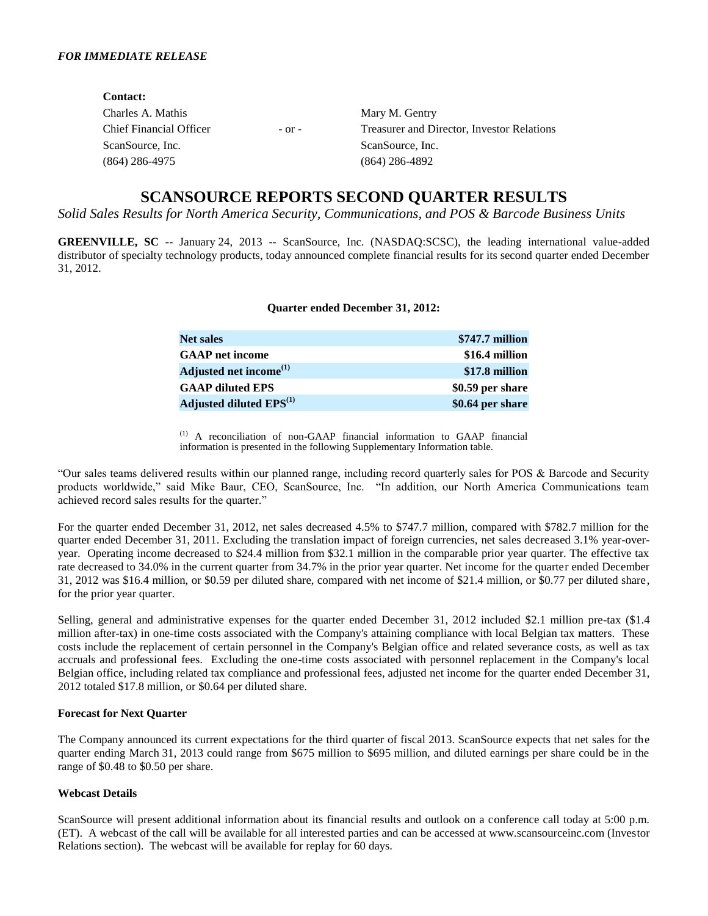| <b>Contact:</b>         |            |                                            |
|-------------------------|------------|--------------------------------------------|
| Charles A. Mathis       |            | Mary M. Gentry                             |
| Chief Financial Officer | $-$ or $-$ | Treasurer and Director, Investor Relations |
| ScanSource, Inc.        |            | ScanSource, Inc.                           |
| $(864)$ 286-4975        |            | $(864)$ 286-4892                           |
|                         |            |                                            |

# **SCANSOURCE REPORTS SECOND QUARTER RESULTS**

*Solid Sales Results for North America Security, Communications, and POS & Barcode Business Units*

**GREENVILLE, SC** -- January 24, 2013 -- ScanSource, Inc. (NASDAQ:SCSC), the leading international value-added distributor of specialty technology products, today announced complete financial results for its second quarter ended December 31, 2012.

| <b>Net sales</b>                    | \$747.7 million  |
|-------------------------------------|------------------|
| <b>GAAP</b> net income              | \$16.4 million   |
| Adjusted net income <sup>(1)</sup>  | \$17.8 million   |
| <b>GAAP diluted EPS</b>             | \$0.59 per share |
| Adjusted diluted EPS <sup>(1)</sup> | \$0.64 per share |

#### **Quarter ended December 31, 2012:**

(1) A reconciliation of non-GAAP financial information to GAAP financial information is presented in the following Supplementary Information table.

"Our sales teams delivered results within our planned range, including record quarterly sales for POS & Barcode and Security products worldwide," said Mike Baur, CEO, ScanSource, Inc. "In addition, our North America Communications team achieved record sales results for the quarter."

For the quarter ended December 31, 2012, net sales decreased 4.5% to \$747.7 million, compared with \$782.7 million for the quarter ended December 31, 2011. Excluding the translation impact of foreign currencies, net sales decreased 3.1% year-overyear. Operating income decreased to \$24.4 million from \$32.1 million in the comparable prior year quarter. The effective tax rate decreased to 34.0% in the current quarter from 34.7% in the prior year quarter. Net income for the quarter ended December 31, 2012 was \$16.4 million, or \$0.59 per diluted share, compared with net income of \$21.4 million, or \$0.77 per diluted share, for the prior year quarter.

Selling, general and administrative expenses for the quarter ended December 31, 2012 included \$2.1 million pre-tax (\$1.4 million after-tax) in one-time costs associated with the Company's attaining compliance with local Belgian tax matters. These costs include the replacement of certain personnel in the Company's Belgian office and related severance costs, as well as tax accruals and professional fees. Excluding the one-time costs associated with personnel replacement in the Company's local Belgian office, including related tax compliance and professional fees, adjusted net income for the quarter ended December 31, 2012 totaled \$17.8 million, or \$0.64 per diluted share.

#### **Forecast for Next Quarter**

The Company announced its current expectations for the third quarter of fiscal 2013. ScanSource expects that net sales for the quarter ending March 31, 2013 could range from \$675 million to \$695 million, and diluted earnings per share could be in the range of \$0.48 to \$0.50 per share.

#### **Webcast Details**

ScanSource will present additional information about its financial results and outlook on a conference call today at 5:00 p.m. (ET). A webcast of the call will be available for all interested parties and can be accessed at www.scansourceinc.com (Investor Relations section). The webcast will be available for replay for 60 days.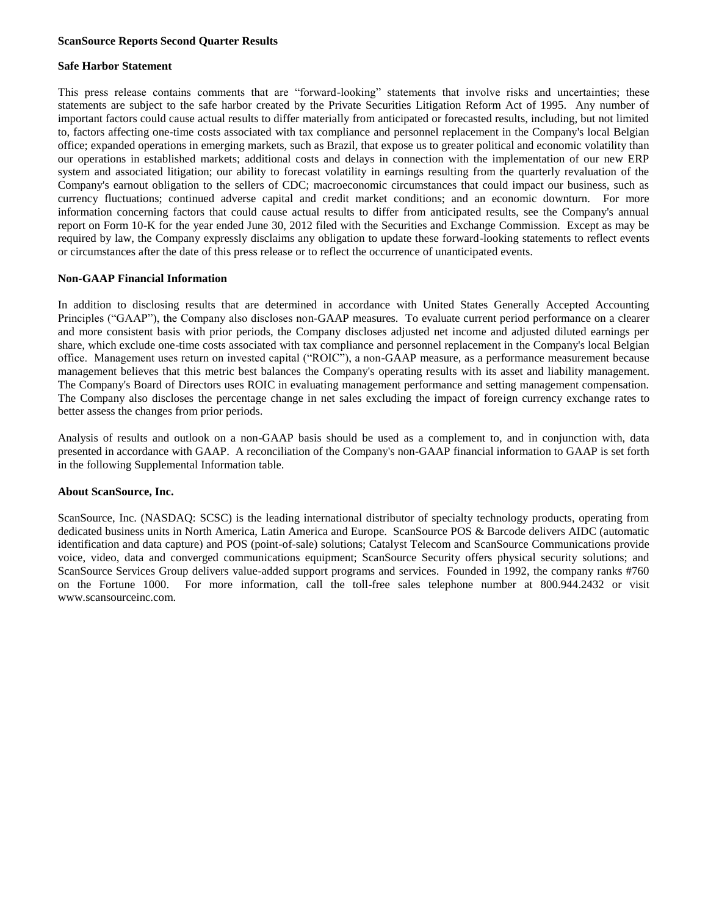#### **ScanSource Reports Second Quarter Results**

#### **Safe Harbor Statement**

This press release contains comments that are "forward-looking" statements that involve risks and uncertainties; these statements are subject to the safe harbor created by the Private Securities Litigation Reform Act of 1995. Any number of important factors could cause actual results to differ materially from anticipated or forecasted results, including, but not limited to, factors affecting one-time costs associated with tax compliance and personnel replacement in the Company's local Belgian office; expanded operations in emerging markets, such as Brazil, that expose us to greater political and economic volatility than our operations in established markets; additional costs and delays in connection with the implementation of our new ERP system and associated litigation; our ability to forecast volatility in earnings resulting from the quarterly revaluation of the Company's earnout obligation to the sellers of CDC; macroeconomic circumstances that could impact our business, such as currency fluctuations; continued adverse capital and credit market conditions; and an economic downturn. For more information concerning factors that could cause actual results to differ from anticipated results, see the Company's annual report on Form 10-K for the year ended June 30, 2012 filed with the Securities and Exchange Commission. Except as may be required by law, the Company expressly disclaims any obligation to update these forward-looking statements to reflect events or circumstances after the date of this press release or to reflect the occurrence of unanticipated events.

### **Non-GAAP Financial Information**

In addition to disclosing results that are determined in accordance with United States Generally Accepted Accounting Principles ("GAAP"), the Company also discloses non-GAAP measures. To evaluate current period performance on a clearer and more consistent basis with prior periods, the Company discloses adjusted net income and adjusted diluted earnings per share, which exclude one-time costs associated with tax compliance and personnel replacement in the Company's local Belgian office. Management uses return on invested capital ("ROIC"), a non-GAAP measure, as a performance measurement because management believes that this metric best balances the Company's operating results with its asset and liability management. The Company's Board of Directors uses ROIC in evaluating management performance and setting management compensation. The Company also discloses the percentage change in net sales excluding the impact of foreign currency exchange rates to better assess the changes from prior periods.

Analysis of results and outlook on a non-GAAP basis should be used as a complement to, and in conjunction with, data presented in accordance with GAAP. A reconciliation of the Company's non-GAAP financial information to GAAP is set forth in the following Supplemental Information table.

### **About ScanSource, Inc.**

ScanSource, Inc. (NASDAQ: SCSC) is the leading international distributor of specialty technology products, operating from dedicated business units in North America, Latin America and Europe. ScanSource POS & Barcode delivers AIDC (automatic identification and data capture) and POS (point-of-sale) solutions; Catalyst Telecom and ScanSource Communications provide voice, video, data and converged communications equipment; ScanSource Security offers physical security solutions; and ScanSource Services Group delivers value-added support programs and services. Founded in 1992, the company ranks #760 on the Fortune 1000. For more information, call the toll-free sales telephone number at 800.944.2432 or visit www.scansourceinc.com.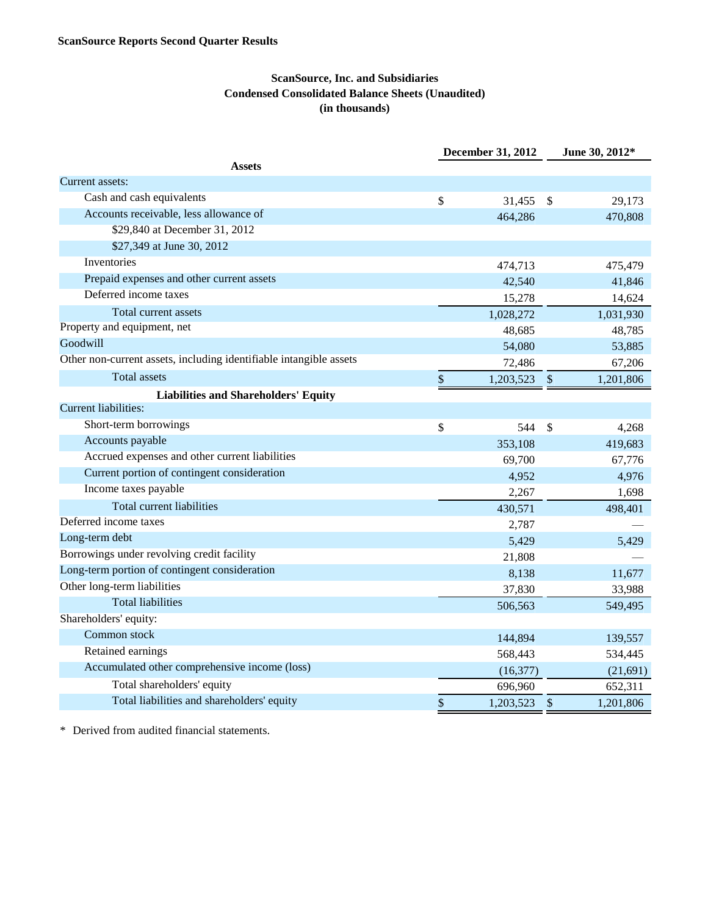## **ScanSource, Inc. and Subsidiaries Condensed Consolidated Balance Sheets (Unaudited) (in thousands)**

|                                                                    | <b>December 31, 2012</b> | June 30, 2012* |           |  |
|--------------------------------------------------------------------|--------------------------|----------------|-----------|--|
| <b>Assets</b>                                                      |                          |                |           |  |
| Current assets:                                                    |                          |                |           |  |
| Cash and cash equivalents                                          | \$<br>31,455             | $\mathcal{S}$  | 29,173    |  |
| Accounts receivable, less allowance of                             | 464,286                  |                | 470,808   |  |
| \$29,840 at December 31, 2012                                      |                          |                |           |  |
| \$27,349 at June 30, 2012                                          |                          |                |           |  |
| Inventories                                                        | 474,713                  |                | 475,479   |  |
| Prepaid expenses and other current assets                          | 42,540                   |                | 41,846    |  |
| Deferred income taxes                                              | 15,278                   |                | 14,624    |  |
| Total current assets                                               | 1,028,272                |                | 1,031,930 |  |
| Property and equipment, net                                        | 48,685                   |                | 48,785    |  |
| <b>Goodwill</b>                                                    | 54,080                   |                | 53,885    |  |
| Other non-current assets, including identifiable intangible assets | 72,486                   |                | 67,206    |  |
| <b>Total assets</b>                                                | \$<br>1,203,523          | $\$$           | 1,201,806 |  |
| <b>Liabilities and Shareholders' Equity</b>                        |                          |                |           |  |
| <b>Current liabilities:</b>                                        |                          |                |           |  |
| Short-term borrowings                                              | \$<br>544                | $\mathcal{S}$  | 4,268     |  |
| Accounts payable                                                   | 353,108                  |                | 419,683   |  |
| Accrued expenses and other current liabilities                     | 69,700                   |                | 67,776    |  |
| Current portion of contingent consideration                        | 4,952                    |                | 4,976     |  |
| Income taxes payable                                               | 2,267                    |                | 1,698     |  |
| Total current liabilities                                          | 430,571                  |                | 498,401   |  |
| Deferred income taxes                                              | 2,787                    |                |           |  |
| Long-term debt                                                     | 5,429                    |                | 5,429     |  |
| Borrowings under revolving credit facility                         | 21,808                   |                |           |  |
| Long-term portion of contingent consideration                      | 8,138                    |                | 11,677    |  |
| Other long-term liabilities                                        | 37,830                   |                | 33,988    |  |
| <b>Total liabilities</b>                                           | 506,563                  |                | 549,495   |  |
| Shareholders' equity:                                              |                          |                |           |  |
| Common stock                                                       | 144,894                  |                | 139,557   |  |
| Retained earnings                                                  | 568,443                  |                | 534,445   |  |
| Accumulated other comprehensive income (loss)                      | (16, 377)                |                | (21, 691) |  |
| Total shareholders' equity                                         | 696,960                  |                | 652,311   |  |
| Total liabilities and shareholders' equity                         | \$<br>1,203,523          | \$             | 1,201,806 |  |

\* Derived from audited financial statements.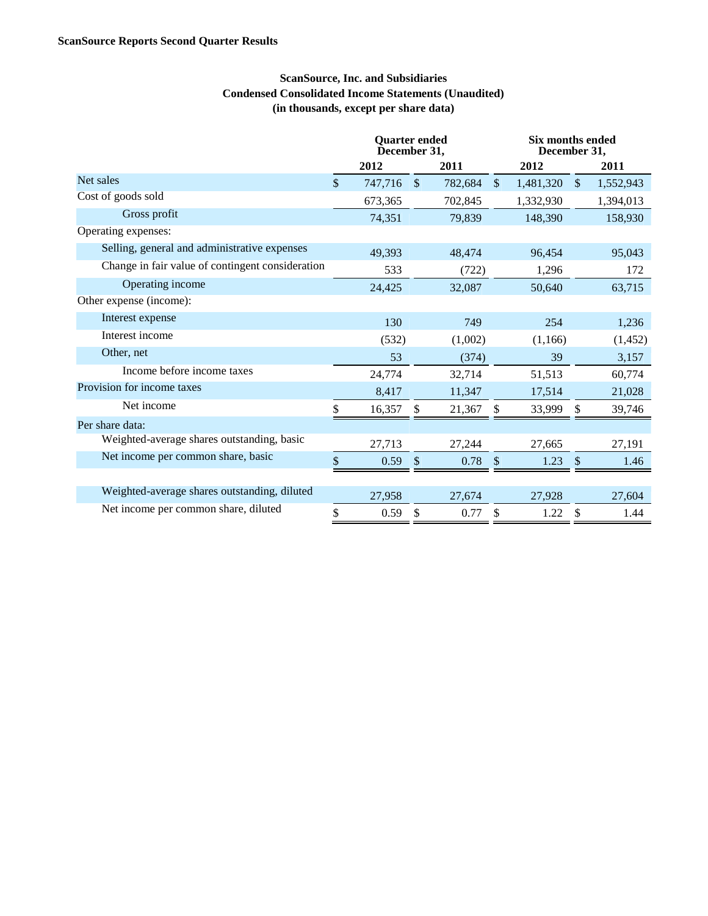## **ScanSource, Inc. and Subsidiaries Condensed Consolidated Income Statements (Unaudited) (in thousands, except per share data)**

|               |         |               |         | <b>Six months ended</b><br>December 31,        |           |               |           |  |
|---------------|---------|---------------|---------|------------------------------------------------|-----------|---------------|-----------|--|
|               | 2012    |               | 2011    |                                                | 2012      |               | 2011      |  |
| $\mathcal{S}$ | 747,716 | $\mathcal{S}$ | 782,684 | $\mathcal{S}$                                  | 1,481,320 | $\mathcal{S}$ | 1,552,943 |  |
|               | 673,365 |               | 702,845 |                                                | 1,332,930 |               | 1,394,013 |  |
|               | 74,351  |               | 79.839  |                                                | 148,390   |               | 158,930   |  |
|               |         |               |         |                                                |           |               |           |  |
|               | 49,393  |               | 48,474  |                                                | 96,454    |               | 95,043    |  |
|               | 533     |               | (722)   |                                                | 1,296     |               | 172       |  |
|               | 24,425  |               | 32,087  |                                                | 50,640    |               | 63,715    |  |
|               |         |               |         |                                                |           |               |           |  |
|               | 130     |               | 749     |                                                | 254       |               | 1,236     |  |
|               | (532)   |               | (1,002) |                                                | (1,166)   |               | (1, 452)  |  |
|               | 53      |               | (374)   |                                                | 39        |               | 3,157     |  |
|               | 24,774  |               | 32,714  |                                                | 51,513    |               | 60,774    |  |
|               | 8,417   |               | 11,347  |                                                | 17,514    |               | 21,028    |  |
| \$            | 16,357  | S             | 21,367  | -S                                             | 33,999    | \$.           | 39,746    |  |
|               |         |               |         |                                                |           |               |           |  |
|               | 27,713  |               |         |                                                | 27,665    |               | 27,191    |  |
| \$            | 0.59    | $\mathcal{S}$ | 0.78    | $\mathcal{S}$                                  | 1.23      | $\sqrt$       | 1.46      |  |
|               |         |               |         |                                                |           |               |           |  |
|               | 27,958  |               | 27,674  |                                                | 27,928    |               | 27,604    |  |
| \$            | 0.59    | \$            | 0.77    | \$                                             | 1.22      | \$            | 1.44      |  |
|               |         |               |         | <b>Quarter</b> ended<br>December 31,<br>27,244 |           |               |           |  |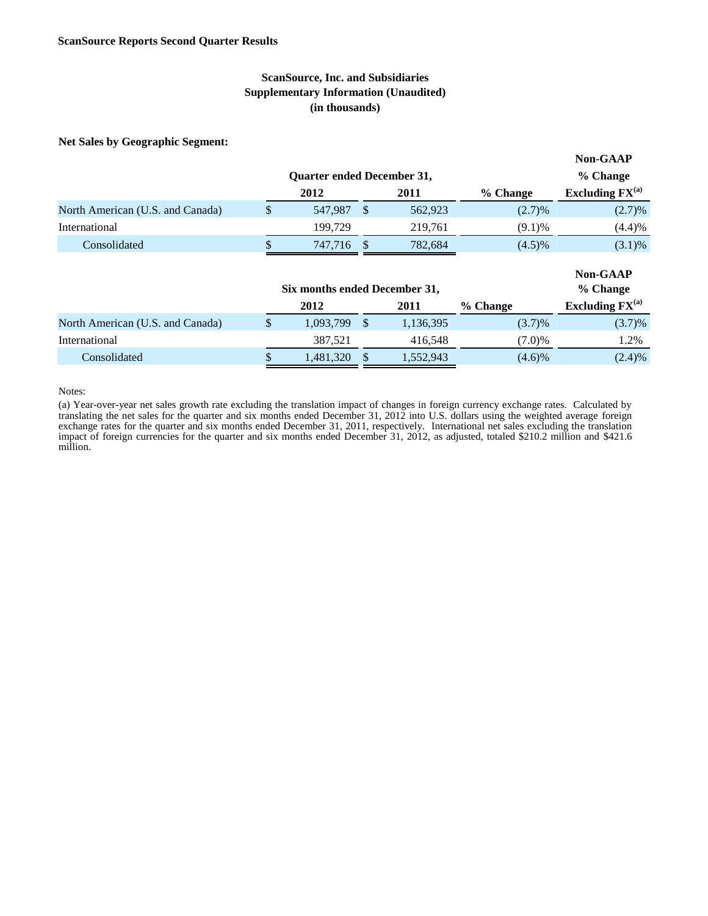## **ScanSource, Inc. and Subsidiaries Supplementary Information (Unaudited) (in thousands)**

### **Net Sales by Geographic Segment:**

|                                  |              |                                   |               |                      |           | <b>Non-GAAP</b>      |
|----------------------------------|--------------|-----------------------------------|---------------|----------------------|-----------|----------------------|
|                                  |              | <b>Quarter ended December 31,</b> | % Change      |                      |           |                      |
|                                  | 2012<br>2011 |                                   | % Change      | Excluding $FX^{(a)}$ |           |                      |
| North American (U.S. and Canada) | S            | 547.987                           | -\$           | 562,923              | (2.7)%    | (2.7)%               |
| International                    |              | 199,729                           |               | 219,761              | (9.1)%    | (4.4)%               |
| Consolidated                     | \$           | 747.716                           |               | 782,684              | $(4.5)\%$ | $(3.1)\%$            |
|                                  |              | Six months ended December 31,     |               |                      |           | Non-GAAP<br>% Change |
|                                  |              | 2012                              |               | 2011                 | % Change  | Excluding $FX^{(a)}$ |
| North American (U.S. and Canada) | \$           | 1.093.799                         | <sup>\$</sup> | 1,136,395            | (3.7)%    | $(3.7)\%$            |
| International                    |              | 387,521                           |               | 416,548              | $(7.0)\%$ | 1.2%                 |
| Consolidated                     | \$           | 1.481.320                         |               | 1.552.943            | $(4.6)\%$ | $(2.4)\%$            |

Notes:

(a) Year-over-year net sales growth rate excluding the translation impact of changes in foreign currency exchange rates. Calculated by translating the net sales for the quarter and six months ended December 31, 2012 into U.S. dollars using the weighted average foreign exchange rates for the quarter and six months ended December 31, 2011, respectively. International net sales excluding the translation impact of foreign currencies for the quarter and six months ended December 31, 2012, as adjusted, totaled \$210.2 million and \$421.6 million.